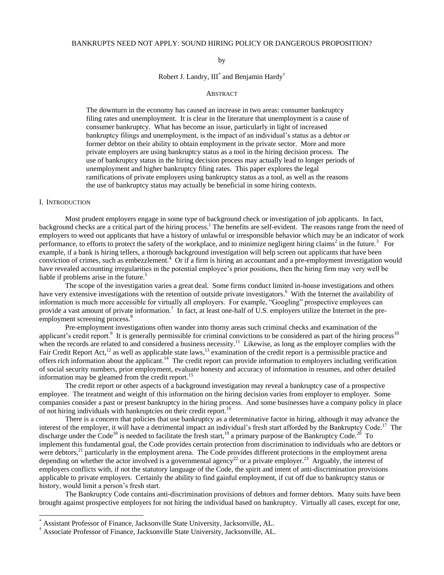## BANKRUPTS NEED NOT APPLY: SOUND HIRING POLICY OR DANGEROUS PROPOSITION?

### by

Robert J. Landry,  $III^*$  and Benjamin Hardy<sup>†</sup>

### **ABSTRACT**

The downturn in the economy has caused an increase in two areas: consumer bankruptcy filing rates and unemployment. It is clear in the literature that unemployment is a cause of consumer bankruptcy. What has become an issue, particularly in light of increased bankruptcy filings and unemployment, is the impact of an individual's status as a debtor or former debtor on their ability to obtain employment in the private sector. More and more private employers are using bankruptcy status as a tool in the hiring decision process. The use of bankruptcy status in the hiring decision process may actually lead to longer periods of unemployment and higher bankruptcy filing rates. This paper explores the legal ramifications of private employers using bankruptcy status as a tool, as well as the reasons the use of bankruptcy status may actually be beneficial in some hiring contexts.

### I. INTRODUCTION

l

Most prudent employers engage in some type of background check or investigation of job applicants. In fact, background checks are a critical part of the hiring process. <sup>1</sup> The benefits are self-evident. The reasons range from the need of employers to weed out applicants that have a history of unlawful or irresponsible behavior which may be an indicator of work performance, to efforts to protect the safety of the workplace, and to minimize negligent hiring claims<sup>2</sup> in the future.<sup>3</sup> For example, if a bank is hiring tellers, a thorough background investigation will help screen out applicants that have been conviction of crimes, such as embezzlement.<sup>4</sup> Or if a firm is hiring an accountant and a pre-employment investigation would have revealed accounting irregularities in the potential employee's prior positions, then the hiring firm may very well be liable if problems arise in the future.<sup>5</sup>

The scope of the investigation varies a great deal. Some firms conduct limited in-house investigations and others have very extensive investigations with the retention of outside private investigators.<sup>6</sup> With the Internet the availability of information is much more accessible for virtually all employers. For example, "Googling" prospective employees can provide a vast amount of private information.<sup>7</sup> In fact, at least one-half of U.S. employers utilize the Internet in the preemployment screening process.<sup>8</sup>

Pre-employment investigations often wander into thorny areas such criminal checks and examination of the applicant's credit report.<sup>9</sup> It is generally permissible for criminal convictions to be considered as part of the hiring process<sup>10</sup> when the records are related to and considered a business necessity.<sup>11</sup> Likewise, as long as the employer complies with the Fair Credit Report Act,<sup>12</sup> as well as applicable state laws,<sup>13</sup> examination of the credit report is a permissible practice and offers rich information about the applicant.<sup>14</sup> The credit report can provide information to employers including verification of social security numbers, prior employment, evaluate honesty and accuracy of information in resumes, and other detailed information may be gleamed from the credit report.<sup>15</sup>

The credit report or other aspects of a background investigation may reveal a bankruptcy case of a prospective employee. The treatment and weight of this information on the hiring decision varies from employer to employer. Some companies consider a past or present bankruptcy in the hiring process. And some businesses have a company policy in place of not hiring individuals with bankruptcies on their credit report.<sup>16</sup>

There is a concern that policies that use bankruptcy as a determinative factor in hiring, although it may advance the interest of the employer, it will have a detrimental impact an individual's fresh start afforded by the Bankruptcy Code.<sup>17</sup> The discharge under the Code<sup>18</sup> is needed to facilitate the fresh start,<sup>19</sup> a primary purpose of the Bankruptcy Code.<sup>20</sup> To implement this fundamental goal, the Code provides certain protection from discrimination to individuals who are debtors or were debtors,<sup>21</sup> particularly in the employment arena. The Code provides different protections in the employment arena depending on whether the actor involved is a governmental agency<sup>22</sup> or a private employer.<sup>23</sup> Arguably, the interest of employers conflicts with, if not the statutory language of the Code, the spirit and intent of anti-discrimination provisions applicable to private employers. Certainly the ability to find gainful employment, if cut off due to bankruptcy status or history, would limit a person's fresh start.

The Bankruptcy Code contains anti-discrimination provisions of debtors and former debtors. Many suits have been brought against prospective employers for not hiring the individual based on bankruptcy. Virtually all cases, except for one,

<sup>\*</sup> Assistant Professor of Finance, Jacksonville State University, Jacksonville, AL.

<sup>†</sup> Associate Professor of Finance, Jacksonville State University, Jacksonville, AL.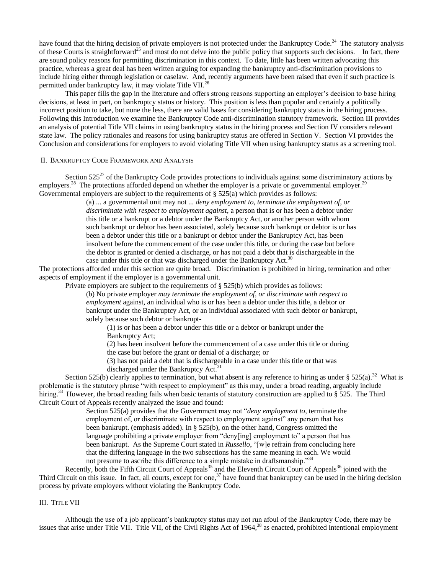have found that the hiring decision of private employers is not protected under the Bankruptcy Code.<sup>24</sup> The statutory analysis of these Courts is straightforward<sup>25</sup> and most do not delve into the public policy that supports such decisions. In fact, there are sound policy reasons for permitting discrimination in this context. To date, little has been written advocating this practice, whereas a great deal has been written arguing for expanding the bankruptcy anti-discrimination provisions to include hiring either through legislation or caselaw. And, recently arguments have been raised that even if such practice is permitted under bankruptcy law, it may violate Title VII.<sup>26</sup>

This paper fills the gap in the literature and offers strong reasons supporting an employer's decision to base hiring decisions, at least in part, on bankruptcy status or history. This position is less than popular and certainly a politically incorrect position to take, but none the less, there are valid bases for considering bankruptcy status in the hiring process. Following this Introduction we examine the Bankruptcy Code anti-discrimination statutory framework. Section III provides an analysis of potential Title VII claims in using bankruptcy status in the hiring process and Section IV considers relevant state law. The policy rationales and reasons for using bankruptcy status are offered in Section V. Section VI provides the Conclusion and considerations for employers to avoid violating Title VII when using bankruptcy status as a screening tool.

### II. BANKRUPTCY CODE FRAMEWORK AND ANALYSIS

Section  $525^{27}$  of the Bankruptcy Code provides protections to individuals against some discriminatory actions by employers.<sup>28</sup> The protections afforded depend on whether the employer is a private or governmental employer.<sup>29</sup> Governmental employers are subject to the requirements of  $\S 525(a)$  which provides as follows:

> (a) ... a governmental unit may not ... *deny employment to, terminate the employment of, or discriminate with respect to employment against*, a person that is or has been a debtor under this title or a bankrupt or a debtor under the Bankruptcy Act, or another person with whom such bankrupt or debtor has been associated, solely because such bankrupt or debtor is or has been a debtor under this title or a bankrupt or debtor under the Bankruptcy Act, has been insolvent before the commencement of the case under this title, or during the case but before the debtor is granted or denied a discharge, or has not paid a debt that is dischargeable in the case under this title or that was discharged under the Bankruptcy Act.<sup>30</sup>

The protections afforded under this section are quite broad. Discrimination is prohibited in hiring, termination and other aspects of employment if the employer is a governmental unit.

Private employers are subject to the requirements of  $\S$  525(b) which provides as follows:

(b) No private employer *may terminate the employment of, or discriminate with respect to employment* against, an individual who is or has been a debtor under this title, a debtor or bankrupt under the Bankruptcy Act, or an individual associated with such debtor or bankrupt, solely because such debtor or bankrupt-

(1) is or has been a debtor under this title or a debtor or bankrupt under the Bankruptcy Act;

(2) has been insolvent before the commencement of a case under this title or during

the case but before the grant or denial of a discharge; or

(3) has not paid a debt that is dischargeable in a case under this title or that was

discharged under the Bankruptcy Act.<sup>31</sup>

Section 525(b) clearly applies to termination, but what absent is any reference to hiring as under § 525(a).<sup>32</sup> What is problematic is the statutory phrase "with respect to employment" as this may, under a broad reading, arguably include hiring.<sup>33</sup> However, the broad reading fails when basic tenants of statutory construction are applied to § 525. The Third Circuit Court of Appeals recently analyzed the issue and found:

> Section 525(a) provides that the Government may not "*deny employment to*, terminate the employment of, or discriminate with respect to employment against" any person that has been bankrupt. (emphasis added). In § 525(b), on the other hand, Congress omitted the language prohibiting a private employer from "deny[ing] employment to" a person that has been bankrupt. As the Supreme Court stated in *Russello*, "[w]e refrain from concluding here that the differing language in the two subsections has the same meaning in each. We would not presume to ascribe this difference to a simple mistake in draftsmanship."<sup>34</sup>

Recently, both the Fifth Circuit Court of Appeals<sup>35</sup> and the Eleventh Circuit Court of Appeals<sup>36</sup> joined with the Third Circuit on this issue. In fact, all courts, except for one, $37$  have found that bankruptcy can be used in the hiring decision process by private employers without violating the Bankruptcy Code.

# III. TITLE VII

Although the use of a job applicant's bankruptcy status may not run afoul of the Bankruptcy Code, there may be issues that arise under Title VII. Title VII, of the Civil Rights Act of 1964,<sup>38</sup> as enacted, prohibited intentional employment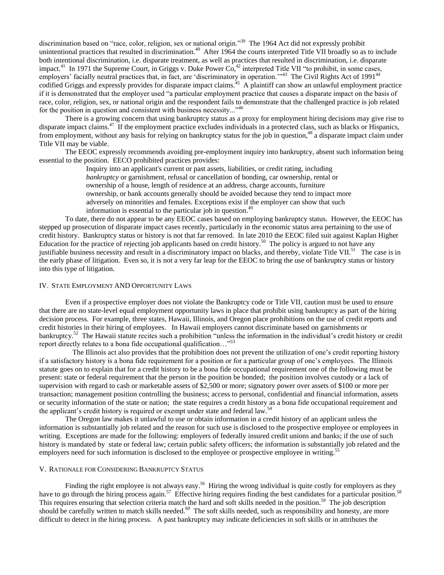discrimination based on "race, color, religion, sex or national origin."<sup>39</sup> The 1964 Act did not expressly prohibit unintentional practices that resulted in discrimination.<sup>40</sup> After 1964 the courts interpreted Title VII broadly so as to include both intentional discrimination, i.e. disparate treatment, as well as practices that resulted in discrimination, i.e. disparate impact.<sup>41</sup> In 1971 the Supreme Court, in Griggs v. Duke Power  $Co<sub>1</sub><sup>42</sup>$  interpreted Title VII "to prohibit, in some cases, employers' facially neutral practices that, in fact, are 'discriminatory in operation.'"<sup>43</sup> The Civil Rights Act of 1991<sup>44</sup> codified Griggs and expressly provides for disparate impact claims.<sup>45</sup> A plaintiff can show an unlawful employment practice if it is demonstrated that the employer used "a particular employment practice that causes a disparate impact on the basis of race, color, religion, sex, or national origin and the respondent fails to demonstrate that the challenged practice is job related for the position in question and consistent with business necessity..."<sup>46</sup>

There is a growing concern that using bankruptcy status as a proxy for employment hiring decisions may give rise to disparate impact claims.<sup>47</sup> If the employment practice excludes individuals in a protected class, such as blacks or Hispanics, from employment, without any basis for relying on bankruptcy status for the job in question,<sup>48</sup> a disparate impact claim under Title VII may be viable.

The EEOC expressly recommends avoiding pre-employment inquiry into bankruptcy, absent such information being essential to the position. EECO prohibited practices provides:

Inquiry into an applicant's current or past assets, liabilities, or credit rating, including *bankruptcy* or garnishment, refusal or cancellation of bonding, car ownership, rental or ownership of a house, length of residence at an address, charge accounts, furniture ownership, or bank accounts generally should be avoided because they tend to impact more adversely on minorities and females. Exceptions exist if the employer can show that such information is essential to the particular job in question.<sup>49</sup>

To date, there do not appear to be any EEOC cases based on employing bankruptcy status. However, the EEOC has stepped up prosecution of disparate impact cases recently, particularly in the economic status area pertaining to the use of credit history. Bankruptcy status or history is not that far removed. In late 2010 the EEOC filed suit against Kaplan Higher Education for the practice of rejecting job applicants based on credit history.<sup>50</sup> The policy is argued to not have any justifiable business necessity and result in a discriminatory impact on blacks, and thereby, violate Title VII.<sup>51</sup> The case is in the early phase of litigation. Even so, it is not a very far leap for the EEOC to bring the use of bankruptcy status or history into this type of litigation.

### IV. STATE EMPLOYMENT AND OPPORTUNITY LAWS

Even if a prospective employer does not violate the Bankruptcy code or Title VII, caution must be used to ensure that there are no state-level equal employment opportunity laws in place that prohibit using bankruptcy as part of the hiring decision process. For example, three states, Hawaii, Illinois, and Oregon place prohibitions on the use of credit reports and credit histories in their hiring of employees. In Hawaii employers cannot discriminate based on garnishments or bankruptcy.<sup>52</sup> The Hawaii statute recites such a prohibition "unless the information in the individual's credit history or credit report directly relates to a bona fide occupational qualification..."<sup>53</sup>

 The Illinois act also provides that the prohibition does not prevent the utilization of one's credit reporting history if a satisfactory history is a bona fide requirement for a position or for a particular group of one's employees. The Illinois statute goes on to explain that for a credit history to be a bona fide occupational requirement one of the following must be present: state or federal requirement that the person in the position be bonded; the position involves custody or a lack of supervision with regard to cash or marketable assets of \$2,500 or more; signatory power over assets of \$100 or more per transaction; management position controlling the business; access to personal, confidential and financial information, assets or security information of the state or nation; the state requires a credit history as a bona fide occupational requirement and the applicant's credit history is required or exempt under state and federal law.<sup>54</sup>

The Oregon law makes it unlawful to use or obtain information in a credit history of an applicant unless the information is substantially job related and the reason for such use is disclosed to the prospective employee or employees in writing. Exceptions are made for the following: employers of federally insured credit unions and banks; if the use of such history is mandated by state or federal law; certain public safety officers; the information is substantially job related and the employers need for such information is disclosed to the employee or prospective employee in writing.<sup>55</sup>

## V. RATIONALE FOR CONSIDERING BANKRUPTCY STATUS

Finding the right employee is not always easy.<sup>56</sup> Hiring the wrong individual is quite costly for employers as they have to go through the hiring process again.<sup>57</sup> Effective hiring requires finding the best candidates for a particular position.<sup>58</sup> This requires ensuring that selection criteria match the hard and soft skills needed in the position.<sup>59</sup> The job description should be carefully written to match skills needed.<sup>60</sup> The soft skills needed, such as responsibility and honesty, are more difficult to detect in the hiring process. A past bankruptcy may indicate deficiencies in soft skills or in attributes the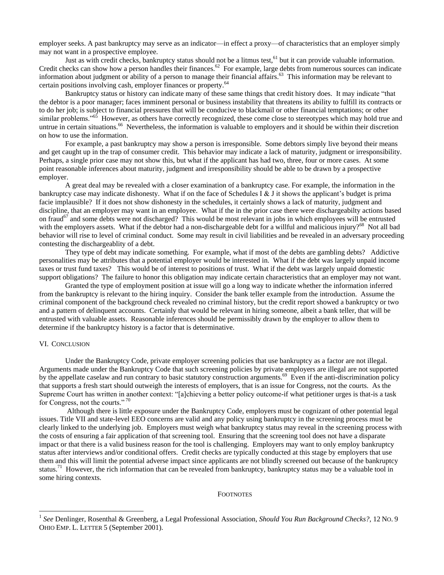employer seeks. A past bankruptcy may serve as an indicator—in effect a proxy—of characteristics that an employer simply may not want in a prospective employee.

Just as with credit checks, bankruptcy status should not be a litmus test,  $61$  but it can provide valuable information. Credit checks can show how a person handles their finances.<sup>62</sup> For example, large debts from numerous sources can indicate information about judgment or ability of a person to manage their financial affairs.<sup>63</sup> This information may be relevant to certain positions involving cash, employer finances or property.<sup>64</sup>

Bankruptcy status or history can indicate many of these same things that credit history does. It may indicate "that the debtor is a poor manager; faces imminent personal or business instability that threatens its ability to fulfill its contracts or to do her job; is subject to financial pressures that will be conducive to blackmail or other financial temptations; or other similar problems."<sup>65</sup> However, as others have correctly recognized, these come close to stereotypes which may hold true and untrue in certain situations.<sup>66</sup> Nevertheless, the information is valuable to employers and it should be within their discretion on how to use the information.

For example, a past bankruptcy may show a person is irresponsible. Some debtors simply live beyond their means and get caught up in the trap of consumer credit. This behavior may indicate a lack of maturity, judgment or irresponsibility. Perhaps, a single prior case may not show this, but what if the applicant has had two, three, four or more cases. At some point reasonable inferences about maturity, judgment and irresponsibility should be able to be drawn by a prospective employer.

A great deal may be revealed with a closer examination of a bankruptcy case. For example, the information in the bankruptcy case may indicate dishonesty. What if on the face of Schedules I & J it shows the applicant's budget is prima facie implausible? If it does not show dishonesty in the schedules, it certainly shows a lack of maturity, judgment and discipline, that an employer may want in an employee. What if the in the prior case there were dischargeabilty actions based on fraud<sup>67</sup> and some debts were not discharged? This would be most relevant in jobs in which employees will be entrusted with the employers assets. What if the debtor had a non-dischargeable debt for a willful and malicious injury?<sup>68</sup> Not all bad behavior will rise to level of criminal conduct. Some may result in civil liabilities and be revealed in an adversary proceeding contesting the dischargeablity of a debt.

They type of debt may indicate something. For example, what if most of the debts are gambling debts? Addictive personalities may be attributes that a potential employer would be interested in. What if the debt was largely unpaid income taxes or trust fund taxes? This would be of interest to positions of trust. What if the debt was largely unpaid domestic support obligations? The failure to honor this obligation may indicate certain characteristics that an employer may not want.

Granted the type of employment position at issue will go a long way to indicate whether the information inferred from the bankruptcy is relevant to the hiring inquiry. Consider the bank teller example from the introduction. Assume the criminal component of the background check revealed no criminal history, but the credit report showed a bankruptcy or two and a pattern of delinquent accounts. Certainly that would be relevant in hiring someone, albeit a bank teller, that will be entrusted with valuable assets. Reasonable inferences should be permissibly drawn by the employer to allow them to determine if the bankruptcy history is a factor that is determinative.

## VI. CONCLUSION

 $\overline{a}$ 

Under the Bankruptcy Code, private employer screening policies that use bankruptcy as a factor are not illegal. Arguments made under the Bankruptcy Code that such screening policies by private employers are illegal are not supported by the appellate caselaw and run contrary to basic statutory construction arguments.<sup>69</sup> Even if the anti-discrimination policy that supports a fresh start should outweigh the interests of employers, that is an issue for Congress, not the courts. As the Supreme Court has written in another context: "[a]chieving a better policy outcome-if what petitioner urges is that-is a task for Congress, not the courts."<sup>70</sup>

Although there is little exposure under the Bankruptcy Code, employers must be cognizant of other potential legal issues. Title VII and state-level EEO concerns are valid and any policy using bankruptcy in the screening process must be clearly linked to the underlying job. Employers must weigh what bankruptcy status may reveal in the screening process with the costs of ensuring a fair application of that screening tool. Ensuring that the screening tool does not have a disparate impact or that there is a valid business reason for the tool is challenging. Employers may want to only employ bankruptcy status after interviews and/or conditional offers. Credit checks are typically conducted at this stage by employers that use them and this will limit the potential adverse impact since applicants are not blindly screened out because of the bankruptcy status.<sup>71</sup> However, the rich information that can be revealed from bankruptcy, bankruptcy status may be a valuable tool in some hiring contexts.

#### **FOOTNOTES**

<sup>1</sup> *See* Denlinger, Rosenthal & Greenberg, a Legal Professional Association, *Should You Run Background Checks?,* 12 NO. 9 OHIO EMP. L. LETTER 5 (September 2001).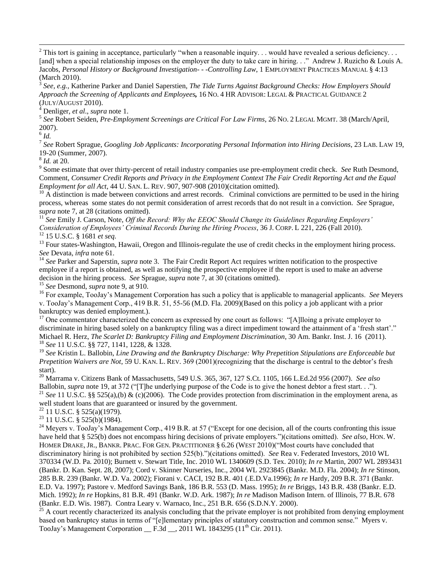This tort is gaining in acceptance, particularly "when a reasonable inquiry. . . would have revealed a serious deficiency. . . [and] when a special relationship imposes on the employer the duty to take care in hiring. . ." Andrew J. Ruzicho & Louis A. Jacobs, *Personal History or Background Investigation- - -Controlling Law*, 1 EMPLOYMENT PRACTICES MANUAL § 4:13 (March 2010).

3 *See, e.g.,* Katherine Parker and Daniel Saperstien, *The Tide Turns Against Background Checks: How Employers Should Approach the Screening of Applicants and Employees,* 16 NO. 4 HR ADVISOR: LEGAL & PRACTICAL GUIDANCE 2 (JULY/AUGUST 2010).

<sup>4</sup> Denliger, *et al*., *supra* note 1.

5 *See* Robert Seiden, *Pre-Employment Screenings are Critical For Law Firms*, 26 NO. 2 LEGAL MGMT. 38 (March/April, 2007).

6 *Id.*

l

7 *See* Robert Sprague, *Googling Job Applicants: Incorporating Personal Information into Hiring Decisions*, 23 LAB. LAW 19, 19-20 (Summer, 2007).

8 *Id.* at 20.

9 Some estimate that over thirty-percent of retail industry companies use pre-employment credit check. *See* Ruth Desmond, Comment, *Consumer Credit Reports and Privacy in the Employment Context The Fair Credit Reporting Act and the Equal Employment for all Act*, 44 U. SAN. L. REV. 907, 907-908 (2010)(citation omitted).

 $10$  A distinction is made between convictions and arrest records. Criminal convictions are permitted to be used in the hiring process, whereas some states do not permit consideration of arrest records that do not result in a conviction. *See* Sprague, *supra* note 7, at 28 (citations omitted).

<sup>11</sup> *See* Emily J. Carson, Note, *Off the Record: Why the EEOC Should Change its Guidelines Regarding Employers' Consideration of Employees' Criminal Records During the Hiring Process*, 36 J. CORP. L 221, 226 (Fall 2010). <sup>12</sup> 15 U.S.C. § 1681 *et seq*.

<sup>13</sup> Four states-Washington, Hawaii, Oregon and Illinois-regulate the use of credit checks in the employment hiring process. *See* Devata, *infra* note 61.

<sup>14</sup> See Parker and Saperstin, *supra* note 3. The Fair Credit Report Act requires written notification to the prospective employee if a report is obtained, as well as notifying the prospective employee if the report is used to make an adverse decision in the hiring process. *See* Sprague, *supra* note 7, at 30 (citations omitted).

<sup>15</sup> *See* Desmond, *supra* note 9, at 910.

<sup>16</sup> For example, TooJay's Management Corporation has such a policy that is applicable to managerial applicants. *See* Meyers v. TooJay's Management Corp., 419 B.R. 51, 55-56 (M.D. Fla. 2009)(Based on this policy a job applicant with a prior bankruptcy was denied employment.).

<sup>17</sup> One commentator characterized the concern as expressed by one court as follows: "[A]lloing a private employer to discriminate in hiring based solely on a bankruptcy filing was a direct impediment toward the attainment of a 'fresh start'." Michael R. Herz, *The Scarlet D: Bankruptcy Filing and Employment Discrimination*, 30 Am. Bankr. Inst. J. 16 (2011). <sup>18</sup> *See* 11 U.S.C. §§ 727, 1141, 1228, & 1328.

<sup>19</sup> *See* Kristin L. Ballobin, *Line Drawing and the Bankruptcy Discharge: Why Prepetition Stipulations are Enforceable but Prepetition Waivers are Not*, 59 U. KAN. L. REV. 369 (2001)(recognizing that the discharge is central to the debtor's fresh start).

<sup>20</sup> Marrama v. Citizens Bank of Massachusetts, 549 U.S. 365, 367, 127 S.Ct. 1105, 166 L.Ed.2d 956 (2007). *See also* Ballobin, *supra* note 19, at 372 ("The underlying purpose of the Code is to give the honest debtor a frest start. . ."). <sup>21</sup> *See* 11 U.S.C. §§ 525(a),(b) & (c)(2006). The Code provides protection from discrimination in the employment arena, as well student loans that are guaranteed or insured by the government.

 $22$  11 U.S.C. § 525(a)(1979).

<sup>23</sup> 11 U.S.C. § 525(b)(1984).

<sup>24</sup> Meyers v. TooJay's Management Corp., 419 B.R. at 57 ("Except for one decision, all of the courts confronting this issue have held that § 525(b) does not encompass hiring decisions of private employers.")(citations omitted). *See also*, Hon. W. HOMER DRAKE, JR., BANKR. PRAC. FOR GEN. PRACTITIONER § 6.26 (WEST 2010)("Most courts have concluded that discriminatory hiring is not prohibited by section 525(b).")(citations omitted). *See* Rea v. Federated Investors, 2010 WL 370334 (W.D. Pa. 2010); Burnett v. Stewart Title, Inc. 2010 WL 1340609 (S.D. Tex. 2010); *In re* Martin, 2007 WL 2893431 (Bankr. D. Kan. Sept. 28, 2007); Cord v. Skinner Nurseries, Inc., 2004 WL 2923845 (Bankr. M.D. Fla. 2004); *In re* Stinson, 285 B.R. 239 (Bankr. W.D. Va. 2002); Fiorani v. CACI, 192 B.R. 401 (.E.D.Va.1996); *In re* Hardy, 209 B.R. 371 (Bankr. E.D. Va. 1997); Pastore v. Medford Savings Bank, 186 B.R. 553 (D. Mass. 1995); *In re* Briggs, 143 B.R. 438 (Bankr. E.D. Mich. 1992); *In re* Hopkins, 81 B.R. 491 (Bankr. W.D. Ark. 1987); *In re* Madison Madison Intern. of Illinois, 77 B.R. 678 (Bankr. E.D. Wis. 1987). Contra Leary v. Warnaco, Inc., 251 B.R. 656 (S.D.N.Y. 2000).

 $25$  A court recently characterized its analysis concluding that the private employer is not prohibited from denying employment based on bankruptcy status in terms of "[e]lementary principles of statutory construction and common sense." Myers v. TooJay's Management Corporation  $\overline{F}$ .3d . 2011 WL 1843295 (11<sup>th</sup> Cir. 2011).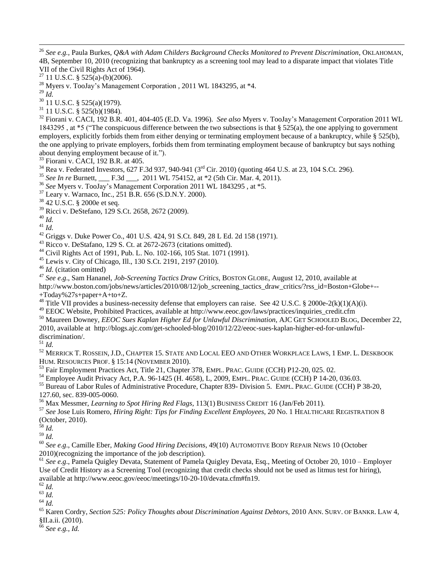*See e.g.,* Paula Burkes, *Q&A with Adam Childers Background Checks Monitored to Prevent Discrimination*, OKLAHOMAN, 4B, September 10, 2010 (recognizing that bankruptcy as a screening tool may lead to a disparate impact that violates Title VII of the Civil Rights Act of 1964).

- 11 U.S.C. § 525(a)-(b)(2006).
- <sup>28</sup> Myers v. TooJay's Management Corporation , 2011 WL 1843295, at \*4.
- *Id.*

l

- 11 U.S.C. § 525(a)(1979).
- 11 U.S.C. § 525(b)(1984).

 Fiorani v. CACI, 192 B.R. 401, 404-405 (E.D. Va. 1996). *See also* Myers v. TooJay's Management Corporation 2011 WL 1843295, at \*5 ("The conspicuous difference between the two subsections is that  $\S 525(a)$ , the one applying to government employers, explicitly forbids them from either denying or terminating employment because of a bankruptcy, while § 525(b), the one applying to private employers, forbids them from terminating employment because of bankruptcy but says nothing about denying employment because of it.").

- Fiorani v. CACI, 192 B.R. at 405.
- Rea v. Federated Investors, 627 F.3d 937, 940-941 (3<sup>rd</sup> Cir. 2010) (quoting 464 U.S. at 23, 104 S.Ct. 296).
- *See In re* Burnett, \_\_\_ F.3d \_\_\_, 2011 WL 754152, at \*2 (5th Cir. Mar. 4, 2011).
- *See* Myers v. TooJay's Management Corporation 2011 WL 1843295 , at \*5.
- Leary v. Warnaco, Inc., 251 B.R. 656 (S.D.N.Y. 2000).
- 42 U.S.C. § 2000e et seq.
- Ricci v. DeStefano, 129 S.Ct. 2658, 2672 (2009).
- *Id.*

*Id.*

Griggs v. Duke Power Co., 401 U.S. 424, 91 S.Ct. 849, 28 L Ed. 2d 158 (1971).

Ricco v. DeStafano, 129 S. Ct. at 2672-2673 (citations omitted).

Civil Rights Act of 1991, Pub. L. No. 102-166, 105 Stat. 1071 (1991).

- Lewis v. City of Chicago, Ill., 130 S.Ct. 2191, 2197 (2010).
- *Id*. (citation omitted)

*See e.g*., Sam Hananel, *Job-Screening Tactics Draw Critics*, BOSTON GLOBE, August 12, 2010, available at

http://www.boston.com/jobs/news/articles/2010/08/12/job\_screening\_tactics\_draw\_critics/?rss\_id=Boston+Globe+--

+Today%27s+paper+A+to+Z.

<sup>48</sup> Title VII provides a business-necessity defense that employers can raise. See 42 U.S.C. § 2000e-2(k)(1)(A)(i).

EEOC Website, Prohibited Practices, available at http://www.eeoc.gov/laws/practices/inquiries\_credit.cfm

 Maureen Downey, *EEOC Sues Kaplan Higher Ed for Unlawful Discrimination*, AJC GET SCHOOLED BLOG, December 22, 2010, available at http://blogs.ajc.com/get-schooled-blog/2010/12/22/eeoc-sues-kaplan-higher-ed-for-unlawfuldiscrimination/.

*Id.*

 MERRICK T. ROSSEIN, J.D., CHAPTER 15. STATE AND LOCAL EEO AND OTHER WORKPLACE LAWS, 1 EMP. L. DESKBOOK HUM. RESOURCES PROF. § 15:14 (NOVEMBER 2010).

Fair Employment Practices Act, Title 21, Chapter 378, EMPL. PRAC. GUIDE (CCH) P12-20, 025. 02.

Employee Audit Privacy Act, P.A. 96-1425 (H. 4658), L, 2009, EMPL. PRAC. GUIDE (CCH) P 14-20, 036.03.

 Bureau of Labor Rules of Administrative Procedure, Chapter 839- Division 5. EMPL. PRAC. GUIDE (CCH) P 38-20, 127.60, sec. 839-005-0060.

Max Messmer, *Learning to Spot Hiring Red Flags*, 113(1) BUSINESS CREDIT 16 (Jan/Feb 2011).

 *See* Jose Luis Romero, *Hiring Right: Tips for Finding Excellent Employees*, 20 No. 1 HEALTHCARE REGISTRATION 8 (October, 2010).

*Id.*

*Id.*

 *See e.g*., Camille Eber, *Making Good Hiring Decisions*, 49(10) AUTOMOTIVE BODY REPAIR NEWS 10 (October 2010)(recognizing the importance of the job description).

 *See e.g*., Pamela Quigley Devata, Statement of Pamela Quigley Devata, Esq., Meeting of October 20, 1010 – Employer Use of Credit History as a Screening Tool (recognizing that credit checks should not be used as litmus test for hiring), available at http://www.eeoc.gov/eeoc/meetings/10-20-10/devata.cfm#fn19.

*Id.*

*Id.*

*See e.g., Id.*

 $^{63}$  *Id.* 

 Karen Cordry, *Section 525: Policy Thoughts about Discrimination Against Debtors*, 2010 ANN. SURV. OF BANKR. LAW 4, §II.a.ii. (2010).